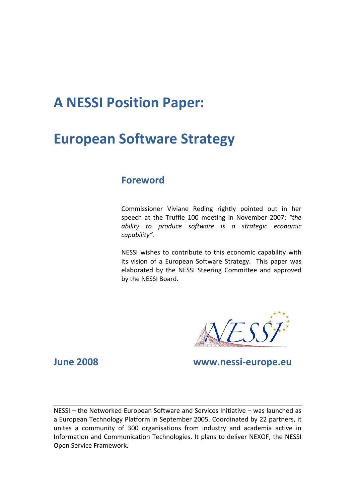# **A NESSI Position Paper:**

# **European Software Strategy**

### **Foreword**

Commissioner Viviane Reding rightly pointed out in her speech at the Truffle 100 meeting in November 2007: *"the ability to produce software is a strategic economic capability".* 

NESSI wishes to contribute to this economic capability with its vision of a European Software Strategy.This paper was elaborated by the NESSI Steering Committee and approved by the NESSI Board.

**June 2008 www.nessi-europe.eu** 

NESSI – the Networked European Software and Services Initiative – was launched as a European Technology Platform in September 2005. Coordinated by 22 partners, it unites a community of 300 organisations from industry and academia active in Information and Communication Technologies. It plans to deliver NEXOF, the NESSI Open Service Framework.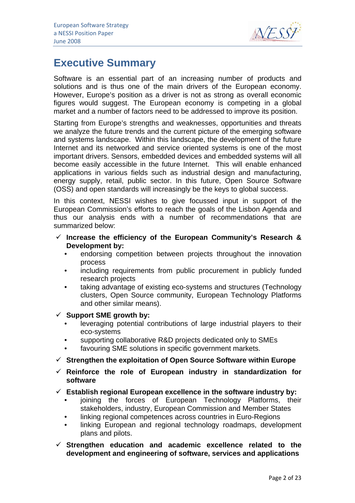

## **Executive Summary**

Software is an essential part of an increasing number of products and solutions and is thus one of the main drivers of the European economy. However, Europe's position as a driver is not as strong as overall economic figures would suggest. The European economy is competing in a global market and a number of factors need to be addressed to improve its position.

Starting from Europe's strengths and weaknesses, opportunities and threats we analyze the future trends and the current picture of the emerging software and systems landscape. Within this landscape, the development of the future Internet and its networked and service oriented systems is one of the most important drivers. Sensors, embedded devices and embedded systems will all become easily accessible in the future Internet. This will enable enhanced applications in various fields such as industrial design and manufacturing, energy supply, retail, public sector. In this future, Open Source Software (OSS) and open standards will increasingly be the keys to global success.

In this context, NESSI wishes to give focussed input in support of the European Commission's efforts to reach the goals of the Lisbon Agenda and thus our analysis ends with a number of recommendations that are summarized below:

- $\checkmark$  Increase the efficiency of the European Community's Research & **Development by:** 
	- endorsing competition between projects throughout the innovation process
	- including requirements from public procurement in publicly funded research projects
	- taking advantage of existing eco-systems and structures (Technology clusters, Open Source community, European Technology Platforms and other similar means).

9 **Support SME growth by:** 

- leveraging potential contributions of large industrial players to their eco-systems
- supporting collaborative R&D projects dedicated only to SMEs
- favouring SME solutions in specific government markets.
- 9 **Strengthen the exploitation of Open Source Software within Europe**
- $\checkmark$  Reinforce the role of European industry in standardization for **software**
- 9 **Establish regional European excellence in the software industry by:** 
	- joining the forces of European Technology Platforms, their stakeholders, industry, European Commission and Member States
	- linking regional competences across countries in Euro-Regions
	- linking European and regional technology roadmaps, development plans and pilots.
- 9 **Strengthen education and academic excellence related to the development and engineering of software, services and applications**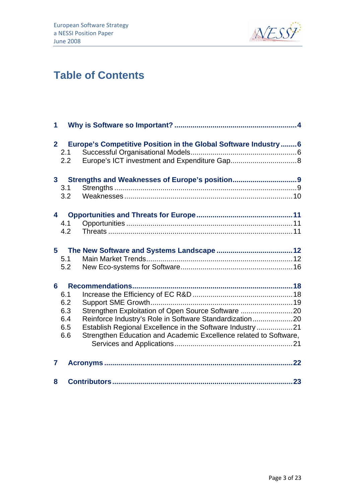

## **Table of Contents**

| 1                       |                                                                                                                                                                                                                                                                                           |
|-------------------------|-------------------------------------------------------------------------------------------------------------------------------------------------------------------------------------------------------------------------------------------------------------------------------------------|
| 2 <sup>1</sup>          | Europe's Competitive Position in the Global Software Industry 6<br>2.1<br>2.2                                                                                                                                                                                                             |
| 3 <sup>1</sup>          | 3.1<br>3.2                                                                                                                                                                                                                                                                                |
| $\overline{\mathbf{4}}$ | 4.1<br>4.2                                                                                                                                                                                                                                                                                |
| 5                       | 5.1<br>5.2                                                                                                                                                                                                                                                                                |
| 6                       | 6.1<br>6.2<br>Strengthen Exploitation of Open Source Software 20<br>6.3<br>Reinforce Industry's Role in Software Standardization20<br>6.4<br>Establish Regional Excellence in the Software Industry 21<br>6.5<br>Strengthen Education and Academic Excellence related to Software,<br>6.6 |
| 7                       |                                                                                                                                                                                                                                                                                           |
| 8                       |                                                                                                                                                                                                                                                                                           |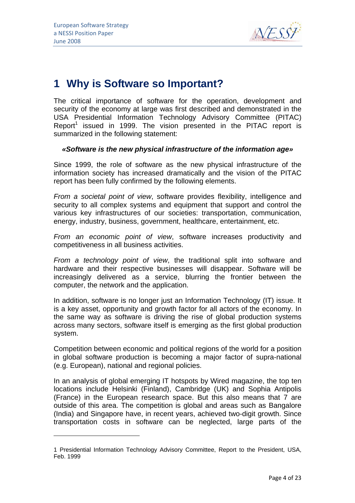$\overline{a}$ 



## **1 Why is Software so Important?**

The critical importance of software for the operation, development and security of the economy at large was first described and demonstrated in the USA Presidential Information Technology Advisory Committee (PITAC) Report<sup>1</sup> issued in 1999. The vision presented in the PITAC report is summarized in the following statement:

#### *«Software is the new physical infrastructure of the information age»*

Since 1999, the role of software as the new physical infrastructure of the information society has increased dramatically and the vision of the PITAC report has been fully confirmed by the following elements.

*From a societal point of view*, software provides flexibility, intelligence and security to all complex systems and equipment that support and control the various key infrastructures of our societies: transportation, communication, energy, industry, business, government, healthcare, entertainment, etc.

*From an economic point of view*, software increases productivity and competitiveness in all business activities.

*From a technology point of view*, the traditional split into software and hardware and their respective businesses will disappear. Software will be increasingly delivered as a service, blurring the frontier between the computer, the network and the application.

In addition, software is no longer just an Information Technology (IT) issue. It is a key asset, opportunity and growth factor for all actors of the economy. In the same way as software is driving the rise of global production systems across many sectors, software itself is emerging as the first global production system.

Competition between economic and political regions of the world for a position in global software production is becoming a major factor of supra-national (e.g. European), national and regional policies.

In an analysis of global emerging IT hotspots by Wired magazine, the top ten locations include Helsinki (Finland), Cambridge (UK) and Sophia Antipolis (France) in the European research space. But this also means that 7 are outside of this area. The competition is global and areas such as Bangalore (India) and Singapore have, in recent years, achieved two-digit growth. Since transportation costs in software can be neglected, large parts of the

<sup>1</sup> Presidential Information Technology Advisory Committee, Report to the President, USA, Feb. 1999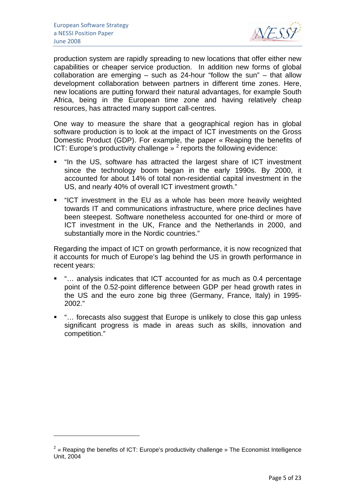$\overline{a}$ 



production system are rapidly spreading to new locations that offer either new capabilities or cheaper service production. In addition new forms of global collaboration are emerging – such as 24-hour "follow the sun" – that allow development collaboration between partners in different time zones. Here, new locations are putting forward their natural advantages, for example South Africa, being in the European time zone and having relatively cheap resources, has attracted many support call-centres.

One way to measure the share that a geographical region has in global software production is to look at the impact of ICT investments on the Gross Domestic Product (GDP). For example, the paper « Reaping the benefits of ICT: Europe's productivity challenge  $\frac{1}{2}$  reports the following evidence:

- "In the US, software has attracted the largest share of ICT investment since the technology boom began in the early 1990s. By 2000, it accounted for about 14% of total non-residential capital investment in the US, and nearly 40% of overall ICT investment growth."
- "ICT investment in the EU as a whole has been more heavily weighted towards IT and communications infrastructure, where price declines have been steepest. Software nonetheless accounted for one-third or more of ICT investment in the UK, France and the Netherlands in 2000, and substantially more in the Nordic countries."

Regarding the impact of ICT on growth performance, it is now recognized that it accounts for much of Europe's lag behind the US in growth performance in recent years:

- "... analysis indicates that ICT accounted for as much as 0.4 percentage point of the 0.52-point difference between GDP per head growth rates in the US and the euro zone big three (Germany, France, Italy) in 1995- 2002."
- "... forecasts also suggest that Europe is unlikely to close this gap unless significant progress is made in areas such as skills, innovation and competition."

<sup>&</sup>lt;sup>2</sup> « Reaping the benefits of ICT: Europe's productivity challenge » The Economist Intelligence Unit, 2004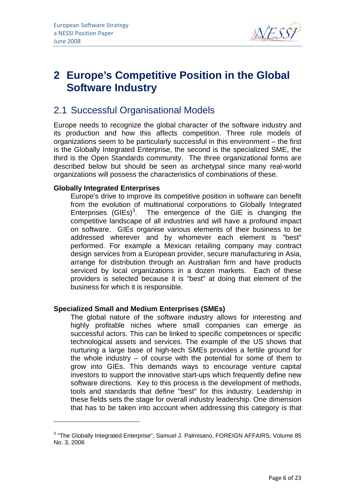

## **2 Europe's Competitive Position in the Global Software Industry**

## 2.1 Successful Organisational Models

Europe needs to recognize the global character of the software industry and its production and how this affects competition. Three role models of organizations seem to be particularly successful in this environment – the first is the Globally Integrated Enterprise, the second is the specialized SME, the third is the Open Standards community. The three organizational forms are described below but should be seen as archetypal since many real-world organizations will possess the characteristics of combinations of these.

#### **Globally Integrated Enterprises**

 $\overline{a}$ 

Europe's drive to improve its competitive position in software can benefit from the evolution of multinational corporations to Globally Integrated Enterprises  $(GIES)^3$ . The emergence of the GIE is changing the competitive landscape of all industries and will have a profound impact on software. GIEs organise various elements of their business to be addressed wherever and by whomever each element is "best" performed. For example a Mexican retailing company may contract design services from a European provider, secure manufacturing in Asia, arrange for distribution through an Australian firm and have products serviced by local organizations in a dozen markets. Each of these providers is selected because it is "best" at doing that element of the business for which it is responsible.

#### **Specialized Small and Medium Enterprises (SMEs)**

The global nature of the software industry allows for interesting and highly profitable niches where small companies can emerge as successful actors. This can be linked to specific competences or specific technological assets and services. The example of the US shows that nurturing a large base of high-tech SMEs provides a fertile ground for the whole industry – of course with the potential for some of them to grow into GIEs. This demands ways to encourage venture capital investors to support the innovative start-ups which frequently define new software directions. Key to this process is the development of methods, tools and standards that define "best" for this industry. Leadership in these fields sets the stage for overall industry leadership. One dimension that has to be taken into account when addressing this category is that

<sup>&</sup>lt;sup>3</sup> "The Globally Integrated Enterprise", Samuel J. Palmisano, FOREIGN AFFAIRS, Volume 85 No. 3, 2006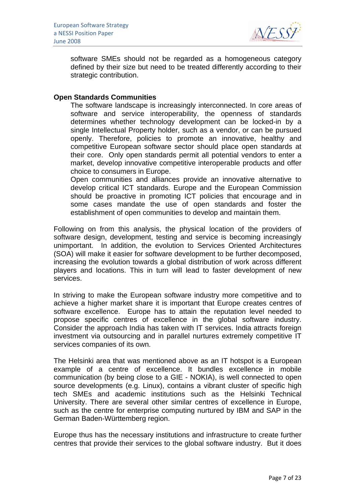

software SMEs should not be regarded as a homogeneous category defined by their size but need to be treated differently according to their strategic contribution.

#### **Open Standards Communities**

The software landscape is increasingly interconnected. In core areas of software and service interoperability, the openness of standards determines whether technology development can be locked-in by a single Intellectual Property holder, such as a vendor, or can be pursued openly. Therefore, policies to promote an innovative, healthy and competitive European software sector should place open standards at their core. Only open standards permit all potential vendors to enter a market, develop innovative competitive interoperable products and offer choice to consumers in Europe.

Open communities and alliances provide an innovative alternative to develop critical ICT standards. Europe and the European Commission should be proactive in promoting ICT policies that encourage and in some cases mandate the use of open standards and foster the establishment of open communities to develop and maintain them.

Following on from this analysis, the physical location of the providers of software design, development, testing and service is becoming increasingly unimportant. In addition, the evolution to Services Oriented Architectures (SOA) will make it easier for software development to be further decomposed, increasing the evolution towards a global distribution of work across different players and locations. This in turn will lead to faster development of new services.

In striving to make the European software industry more competitive and to achieve a higher market share it is important that Europe creates centres of software excellence. Europe has to attain the reputation level needed to propose specific centres of excellence in the global software industry. Consider the approach India has taken with IT services. India attracts foreign investment via outsourcing and in parallel nurtures extremely competitive IT services companies of its own.

The Helsinki area that was mentioned above as an IT hotspot is a European example of a centre of excellence. It bundles excellence in mobile communication (by being close to a GIE - NOKIA), is well connected to open source developments (e.g. Linux), contains a vibrant cluster of specific high tech SMEs and academic institutions such as the Helsinki Technical University. There are several other similar centres of excellence in Europe, such as the centre for enterprise computing nurtured by IBM and SAP in the German Baden-Württemberg region.

Europe thus has the necessary institutions and infrastructure to create further centres that provide their services to the global software industry. But it does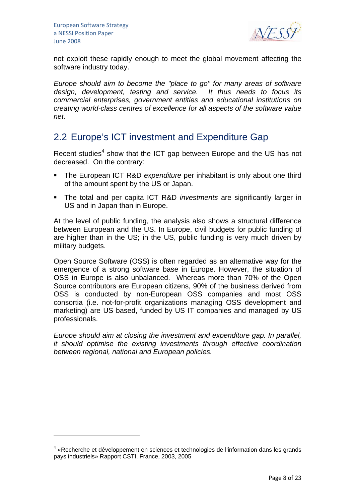$\overline{a}$ 



not exploit these rapidly enough to meet the global movement affecting the software industry today.

*Europe should aim to become the "place to go" for many areas of software design, development, testing and service. It thus needs to focus its commercial enterprises, government entities and educational institutions on creating world-class centres of excellence for all aspects of the software value net.* 

## 2.2 Europe's ICT investment and Expenditure Gap

Recent studies<sup>4</sup> show that the ICT gap between Europe and the US has not decreased. On the contrary:

- The European ICT R&D *expenditure* per inhabitant is only about one third of the amount spent by the US or Japan.
- The total and per capita ICT R&D *investments* are significantly larger in US and in Japan than in Europe.

At the level of public funding, the analysis also shows a structural difference between European and the US. In Europe, civil budgets for public funding of are higher than in the US; in the US, public funding is very much driven by military budgets.

Open Source Software (OSS) is often regarded as an alternative way for the emergence of a strong software base in Europe. However, the situation of OSS in Europe is also unbalanced. Whereas more than 70% of the Open Source contributors are European citizens, 90% of the business derived from OSS is conducted by non-European OSS companies and most OSS consortia (i.e. not-for-profit organizations managing OSS development and marketing) are US based, funded by US IT companies and managed by US professionals.

*Europe should aim at closing the investment and expenditure gap. In parallel, it should optimise the existing investments through effective coordination between regional, national and European policies.* 

<sup>&</sup>lt;sup>4</sup> «Recherche et développement en sciences et technologies de l'information dans les grands pays industriels» Rapport CSTI, France, 2003, 2005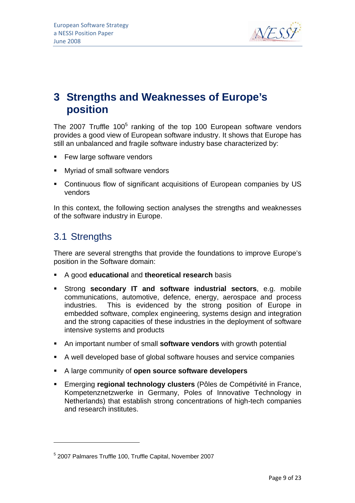

## **3 Strengths and Weaknesses of Europe's position**

The 2007 Truffle 100 $<sup>5</sup>$  ranking of the top 100 European software vendors</sup> provides a good view of European software industry. It shows that Europe has still an unbalanced and fragile software industry base characterized by:

- **Few large software vendors**
- **Nyriad of small software vendors**
- Continuous flow of significant acquisitions of European companies by US vendors

In this context, the following section analyses the strengths and weaknesses of the software industry in Europe.

### 3.1 Strengths

 $\overline{a}$ 

There are several strengths that provide the foundations to improve Europe's position in the Software domain:

- A good **educational** and **theoretical research** basis
- Strong **secondary IT and software industrial sectors**, e.g. mobile communications, automotive, defence, energy, aerospace and process industries. This is evidenced by the strong position of Europe in embedded software, complex engineering, systems design and integration and the strong capacities of these industries in the deployment of software intensive systems and products
- An important number of small **software vendors** with growth potential
- A well developed base of global software houses and service companies
- A large community of **open source software developers**
- Emerging **regional technology clusters** (Pôles de Compétivité in France, Kompetenznetzwerke in Germany, Poles of Innovative Technology in Netherlands) that establish strong concentrations of high-tech companies and research institutes.

<sup>5</sup> 2007 Palmares Truffle 100, Truffle Capital, November 2007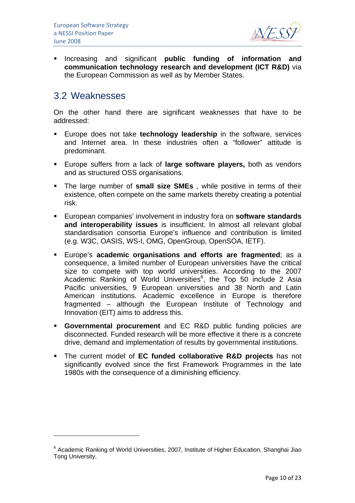

**Increasing and significant public funding of information and communication technology research and development (ICT R&D)** via the European Commission as well as by Member States.

### 3.2 Weaknesses

 $\overline{a}$ 

On the other hand there are significant weaknesses that have to be addressed:

- Europe does not take **technology leadership** in the software, services and Internet area. In these industries often a "follower" attitude is predominant.
- Europe suffers from a lack of **large software players,** both as vendors and as structured OSS organisations.
- The large number of **small size SMEs** , while positive in terms of their existence, often compete on the same markets thereby creating a potential risk.
- European companies' involvement in industry fora on **software standards and interoperability issues** is insufficient. In almost all relevant global standardisation consortia Europe's influence and contribution is limited (e.g. W3C, OASIS, WS-I, OMG, OpenGroup, OpenSOA, IETF).
- Europe's **academic organisations and efforts are fragmented**; as a consequence, a limited number of European universities have the critical size to compete with top world universities. According to the 2007 Academic Ranking of World Universities $6$ , the Top 50 include 2 Asia Pacific universities, 9 European universities and 38 North and Latin American institutions. Academic excellence in Europe is therefore fragmented – although the European Institute of Technology and Innovation (EIT) aims to address this.
- **Governmental procurement** and EC R&D public funding policies are disconnected. Funded research will be more effective it there is a concrete drive, demand and implementation of results by governmental institutions.
- The current model of **EC funded collaborative R&D projects** has not significantly evolved since the first Framework Programmes in the late 1980s with the consequence of a diminishing efficiency.

<sup>&</sup>lt;sup>6</sup> Academic Ranking of World Universities, 2007, Institute of Higher Education, Shanghai Jiao Tong University,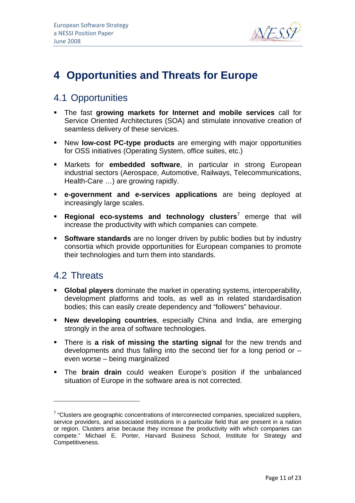

## **4 Opportunities and Threats for Europe**

## 4.1 Opportunities

- The fast **growing markets for Internet and mobile services** call for Service Oriented Architectures (SOA) and stimulate innovative creation of seamless delivery of these services.
- New **low-cost PC-type products** are emerging with major opportunities for OSS initiatives (Operating System, office suites, etc.)
- Markets for **embedded software**, in particular in strong European industrial sectors (Aerospace, Automotive, Railways, Telecommunications, Health-Care …) are growing rapidly.
- **e-government and e-services applications** are being deployed at increasingly large scales.
- **Regional eco-systems and technology clusters**<sup>7</sup> emerge that will increase the productivity with which companies can compete.
- **Software standards** are no longer driven by public bodies but by industry consortia which provide opportunities for European companies to promote their technologies and turn them into standards.

## 4.2 Threats

 $\overline{a}$ 

- **Global players** dominate the market in operating systems, interoperability, development platforms and tools, as well as in related standardisation bodies; this can easily create dependency and "followers" behaviour.
- **New developing countries**, especially China and India, are emerging strongly in the area of software technologies.
- There is **a risk of missing the starting signal** for the new trends and developments and thus falling into the second tier for a long period or – even worse – being marginalized
- The **brain drain** could weaken Europe's position if the unbalanced situation of Europe in the software area is not corrected.

 $7$  "Clusters are geographic concentrations of interconnected companies, specialized suppliers, service providers, and associated institutions in a particular field that are present in a nation or region. Clusters arise because they increase the productivity with which companies can compete." Michael E. Porter, Harvard Business School, Institute for Strategy and Competitiveness.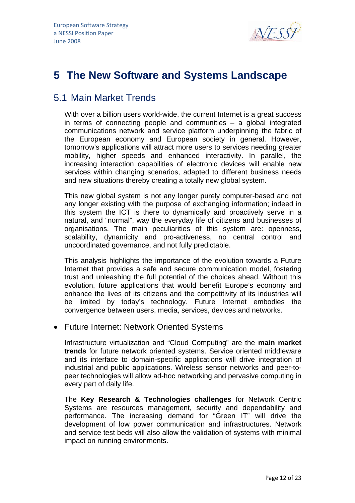

## **5 The New Software and Systems Landscape**

## 5.1 Main Market Trends

With over a billion users world-wide, the current Internet is a great success in terms of connecting people and communities – a global integrated communications network and service platform underpinning the fabric of the European economy and European society in general. However, tomorrow's applications will attract more users to services needing greater mobility, higher speeds and enhanced interactivity. In parallel, the increasing interaction capabilities of electronic devices will enable new services within changing scenarios, adapted to different business needs and new situations thereby creating a totally new global system.

This new global system is not any longer purely computer-based and not any longer existing with the purpose of exchanging information; indeed in this system the ICT is there to dynamically and proactively serve in a natural, and "normal", way the everyday life of citizens and businesses of organisations. The main peculiarities of this system are: openness, scalability, dynamicity and pro-activeness, no central control and uncoordinated governance, and not fully predictable.

This analysis highlights the importance of the evolution towards a Future Internet that provides a safe and secure communication model, fostering trust and unleashing the full potential of the choices ahead. Without this evolution, future applications that would benefit Europe's economy and enhance the lives of its citizens and the competitivity of its industries will be limited by today's technology. Future Internet embodies the convergence between users, media, services, devices and networks.

#### • Future Internet: Network Oriented Systems

Infrastructure virtualization and "Cloud Computing" are the **main market trends** for future network oriented systems. Service oriented middleware and its interface to domain-specific applications will drive integration of industrial and public applications. Wireless sensor networks and peer-topeer technologies will allow ad-hoc networking and pervasive computing in every part of daily life.

The **Key Research & Technologies challenges** for Network Centric Systems are resources management, security and dependability and performance. The increasing demand for "Green IT" will drive the development of low power communication and infrastructures. Network and service test beds will also allow the validation of systems with minimal impact on running environments.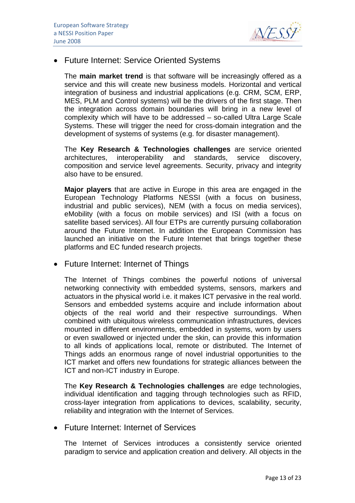

#### • Future Internet: Service Oriented Systems

The **main market trend** is that software will be increasingly offered as a service and this will create new business models. Horizontal and vertical integration of business and industrial applications (e.g. CRM, SCM, ERP, MES, PLM and Control systems) will be the drivers of the first stage. Then the integration across domain boundaries will bring in a new level of complexity which will have to be addressed – so-called Ultra Large Scale Systems. These will trigger the need for cross-domain integration and the development of systems of systems (e.g. for disaster management).

The **Key Research & Technologies challenges** are service oriented architectures, interoperability and standards, service discovery, composition and service level agreements. Security, privacy and integrity also have to be ensured.

**Major players** that are active in Europe in this area are engaged in the European Technology Platforms NESSI (with a focus on business, industrial and public services), NEM (with a focus on media services), eMobility (with a focus on mobile services) and ISI (with a focus on satellite based services). All four ETPs are currently pursuing collaboration around the Future Internet. In addition the European Commission has launched an initiative on the Future Internet that brings together these platforms and EC funded research projects.

• Future Internet: Internet of Things

The Internet of Things combines the powerful notions of universal networking connectivity with embedded systems, sensors, markers and actuators in the physical world i.e. it makes ICT pervasive in the real world. Sensors and embedded systems acquire and include information about objects of the real world and their respective surroundings. When combined with ubiquitous wireless communication infrastructures, devices mounted in different environments, embedded in systems, worn by users or even swallowed or injected under the skin, can provide this information to all kinds of applications local, remote or distributed. The Internet of Things adds an enormous range of novel industrial opportunities to the ICT market and offers new foundations for strategic alliances between the ICT and non-ICT industry in Europe.

The **Key Research & Technologies challenges** are edge technologies, individual identification and tagging through technologies such as RFID, cross-layer integration from applications to devices, scalability, security, reliability and integration with the Internet of Services.

#### • Future Internet: Internet of Services

The Internet of Services introduces a consistently service oriented paradigm to service and application creation and delivery. All objects in the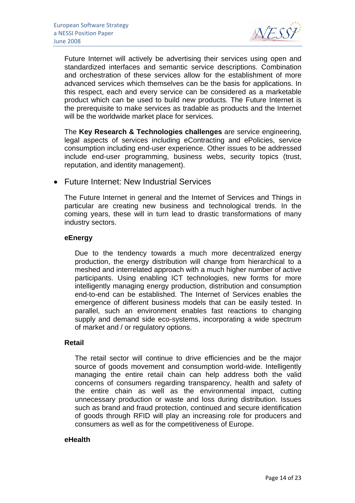

Future Internet will actively be advertising their services using open and standardized interfaces and semantic service descriptions. Combination and orchestration of these services allow for the establishment of more advanced services which themselves can be the basis for applications. In this respect, each and every service can be considered as a marketable product which can be used to build new products. The Future Internet is the prerequisite to make services as tradable as products and the Internet will be the worldwide market place for services.

The **Key Research & Technologies challenges** are service engineering, legal aspects of services including eContracting and ePolicies, service consumption including end-user experience. Other issues to be addressed include end-user programming, business webs, security topics (trust, reputation, and identity management).

• Future Internet: New Industrial Services

The Future Internet in general and the Internet of Services and Things in particular are creating new business and technological trends. In the coming years, these will in turn lead to drastic transformations of many industry sectors.

#### **eEnergy**

Due to the tendency towards a much more decentralized energy production, the energy distribution will change from hierarchical to a meshed and interrelated approach with a much higher number of active participants. Using enabling ICT technologies, new forms for more intelligently managing energy production, distribution and consumption end-to-end can be established. The Internet of Services enables the emergence of different business models that can be easily tested. In parallel, such an environment enables fast reactions to changing supply and demand side eco-systems, incorporating a wide spectrum of market and / or regulatory options.

#### **Retail**

The retail sector will continue to drive efficiencies and be the major source of goods movement and consumption world-wide. Intelligently managing the entire retail chain can help address both the valid concerns of consumers regarding transparency, health and safety of the entire chain as well as the environmental impact, cutting unnecessary production or waste and loss during distribution. Issues such as brand and fraud protection, continued and secure identification of goods through RFID will play an increasing role for producers and consumers as well as for the competitiveness of Europe.

#### **eHealth**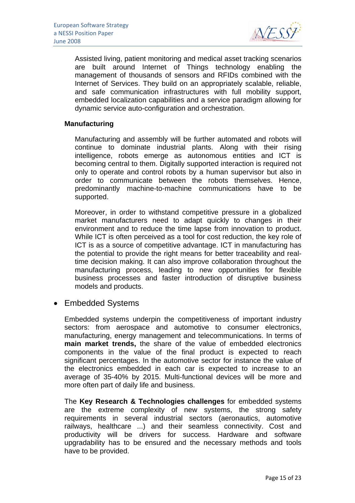

Assisted living, patient monitoring and medical asset tracking scenarios are built around Internet of Things technology enabling the management of thousands of sensors and RFIDs combined with the Internet of Services. They build on an appropriately scalable, reliable, and safe communication infrastructures with full mobility support, embedded localization capabilities and a service paradigm allowing for dynamic service auto-configuration and orchestration.

#### **Manufacturing**

Manufacturing and assembly will be further automated and robots will continue to dominate industrial plants. Along with their rising intelligence, robots emerge as autonomous entities and ICT is becoming central to them. Digitally supported interaction is required not only to operate and control robots by a human supervisor but also in order to communicate between the robots themselves. Hence, predominantly machine-to-machine communications have to be supported.

Moreover, in order to withstand competitive pressure in a globalized market manufacturers need to adapt quickly to changes in their environment and to reduce the time lapse from innovation to product. While ICT is often perceived as a tool for cost reduction, the key role of ICT is as a source of competitive advantage. ICT in manufacturing has the potential to provide the right means for better traceability and realtime decision making. It can also improve collaboration throughout the manufacturing process, leading to new opportunities for flexible business processes and faster introduction of disruptive business models and products.

• Embedded Systems

Embedded systems underpin the competitiveness of important industry sectors: from aerospace and automotive to consumer electronics, manufacturing, energy management and telecommunications. In terms of **main market trends,** the share of the value of embedded electronics components in the value of the final product is expected to reach significant percentages. In the automotive sector for instance the value of the electronics embedded in each car is expected to increase to an average of 35-40% by 2015. Multi-functional devices will be more and more often part of daily life and business.

The **Key Research & Technologies challenges** for embedded systems are the extreme complexity of new systems, the strong safety requirements in several industrial sectors (aeronautics, automotive railways, healthcare ...) and their seamless connectivity. Cost and productivity will be drivers for success. Hardware and software upgradability has to be ensured and the necessary methods and tools have to be provided.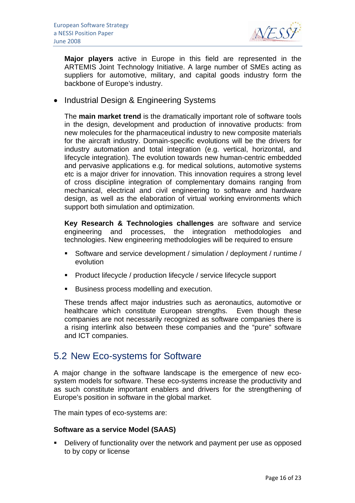

**Major players** active in Europe in this field are represented in the ARTEMIS Joint Technology Initiative. A large number of SMEs acting as suppliers for automotive, military, and capital goods industry form the backbone of Europe's industry.

• Industrial Design & Engineering Systems

The **main market trend** is the dramatically important role of software tools in the design, development and production of innovative products: from new molecules for the pharmaceutical industry to new composite materials for the aircraft industry. Domain-specific evolutions will be the drivers for industry automation and total integration (e.g. vertical, horizontal, and lifecycle integration). The evolution towards new human-centric embedded and pervasive applications e.g. for medical solutions, automotive systems etc is a major driver for innovation. This innovation requires a strong level of cross discipline integration of complementary domains ranging from mechanical, electrical and civil engineering to software and hardware design, as well as the elaboration of virtual working environments which support both simulation and optimization.

**Key Research & Technologies challenges** are software and service engineering and processes, the integration methodologies and technologies. New engineering methodologies will be required to ensure

- Software and service development / simulation / deployment / runtime / evolution
- **Product lifecycle / production lifecycle / service lifecycle support**
- Business process modelling and execution.

These trends affect major industries such as aeronautics, automotive or healthcare which constitute European strengths. Even though these companies are not necessarily recognized as software companies there is a rising interlink also between these companies and the "pure" software and ICT companies.

### 5.2 New Eco-systems for Software

A major change in the software landscape is the emergence of new ecosystem models for software. These eco-systems increase the productivity and as such constitute important enablers and drivers for the strengthening of Europe's position in software in the global market.

The main types of eco-systems are:

#### **Software as a service Model (SAAS)**

**•** Delivery of functionality over the network and payment per use as opposed to by copy or license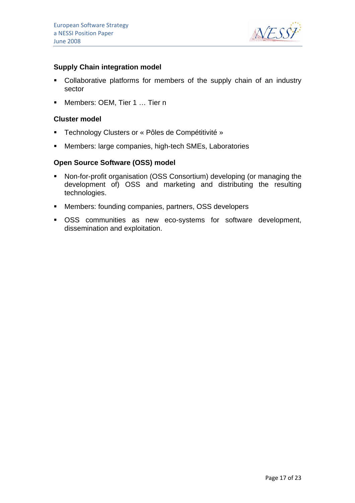

#### **Supply Chain integration model**

- Collaborative platforms for members of the supply chain of an industry sector
- Members: OEM, Tier 1 … Tier n

#### **Cluster model**

- **F** Technology Clusters or « Pôles de Compétitivité »
- Members: large companies, high-tech SMEs, Laboratories

#### **Open Source Software (OSS) model**

- Non-for-profit organisation (OSS Consortium) developing (or managing the development of) OSS and marketing and distributing the resulting technologies.
- Members: founding companies, partners, OSS developers
- OSS communities as new eco-systems for software development, dissemination and exploitation.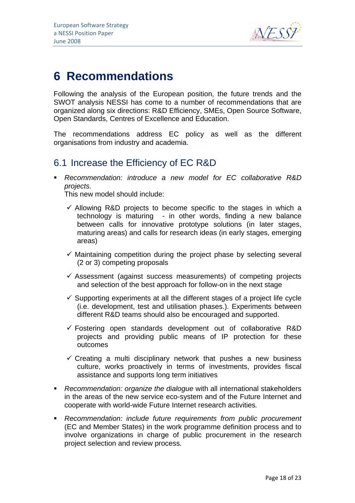

## **6 Recommendations**

Following the analysis of the European position, the future trends and the SWOT analysis NESSI has come to a number of recommendations that are organized along six directions: R&D Efficiency, SMEs, Open Source Software, Open Standards, Centres of Excellence and Education.

The recommendations address EC policy as well as the different organisations from industry and academia.

### 6.1 Increase the Efficiency of EC R&D

 *Recommendation: introduce a new model for EC collaborative R&D projects.* 

This new model should include:

- $\checkmark$  Allowing R&D projects to become specific to the stages in which a technology is maturing - in other words, finding a new balance between calls for innovative prototype solutions (in later stages, maturing areas) and calls for research ideas (in early stages, emerging areas)
- $\checkmark$  Maintaining competition during the project phase by selecting several (2 or 3) competing proposals
- $\checkmark$  Assessment (against success measurements) of competing projects and selection of the best approach for follow-on in the next stage
- $\checkmark$  Supporting experiments at all the different stages of a project life cycle (i.e. development, test and utilisation phases.). Experiments between different R&D teams should also be encouraged and supported.
- $\checkmark$  Fostering open standards development out of collaborative R&D projects and providing public means of IP protection for these outcomes
- $\checkmark$  Creating a multi disciplinary network that pushes a new business culture, works proactively in terms of investments, provides fiscal assistance and supports long term initiatives
- *Recommendation: organize the dialogue* with all international stakeholders in the areas of the new service eco-system and of the Future Internet and cooperate with world-wide Future Internet research activities*.*
- *Recommendation: include future requirements from public procurement*  (EC and Member States) in the work programme definition process and to involve organizations in charge of public procurement in the research project selection and review process*.*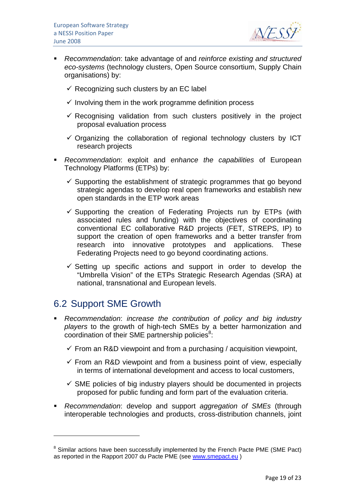

- *Recommendation*: take advantage of and *reinforce existing and structured eco-systems* (technology clusters, Open Source consortium, Supply Chain organisations) by:
	- $\checkmark$  Recognizing such clusters by an EC label
	- $\checkmark$  Involving them in the work programme definition process
	- $\checkmark$  Recognising validation from such clusters positively in the project proposal evaluation process
	- $\checkmark$  Organizing the collaboration of regional technology clusters by ICT research projects
- *Recommendation*: exploit and *enhance the capabilities* of European Technology Platforms (ETPs) by:
	- $\checkmark$  Supporting the establishment of strategic programmes that go beyond strategic agendas to develop real open frameworks and establish new open standards in the ETP work areas
	- $\checkmark$  Supporting the creation of Federating Projects run by ETPs (with associated rules and funding) with the objectives of coordinating conventional EC collaborative R&D projects (FET, STREPS, IP) to support the creation of open frameworks and a better transfer from research into innovative prototypes and applications. These Federating Projects need to go beyond coordinating actions.
	- $\checkmark$  Setting up specific actions and support in order to develop the "Umbrella Vision" of the ETPs Strategic Research Agendas (SRA) at national, transnational and European levels.

## 6.2 Support SME Growth

 $\overline{a}$ 

- *Recommendation*: *increase the contribution of policy and big industry players* to the growth of high-tech SMEs by a better harmonization and coordination of their SME partnership policies $8$ :
	- $\checkmark$  From an R&D viewpoint and from a purchasing / acquisition viewpoint,
	- $\checkmark$  From an R&D viewpoint and from a business point of view, especially in terms of international development and access to local customers,
	- $\checkmark$  SME policies of big industry players should be documented in projects proposed for public funding and form part of the evaluation criteria.
- *Recommendation*: develop and support *aggregation of SMEs* (through interoperable technologies and products, cross-distribution channels, joint

<sup>&</sup>lt;sup>8</sup> Similar actions have been successfully implemented by the French Pacte PME (SME Pact) as reported in the Rapport 2007 du Pacte PME (see www.smepact.eu )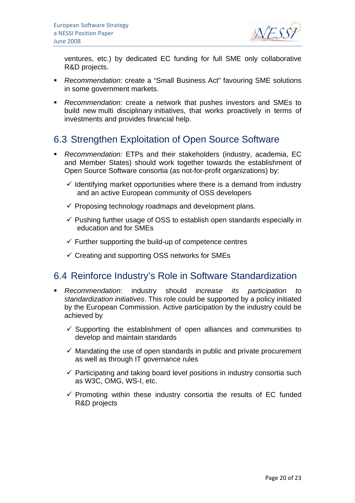

ventures, etc.) by dedicated EC funding for full SME only collaborative R&D projects.

- *Recommendation*: create a "Small Business Act" favouring SME solutions in some government markets.
- *Recommendation:* create a network that pushes investors and SMEs to build new multi disciplinary initiatives, that works proactively in terms of investments and provides financial help.

## 6.3 Strengthen Exploitation of Open Source Software

- *Recommendation:* ETPs and their stakeholders (industry, academia, EC and Member States) should work together towards the establishment of Open Source Software consortia (as not-for-profit organizations) by:
	- $\checkmark$  Identifying market opportunities where there is a demand from industry and an active European community of OSS developers
	- $\checkmark$  Proposing technology roadmaps and development plans.
	- $\checkmark$  Pushing further usage of OSS to establish open standards especially in education and for SMEs
	- $\checkmark$  Further supporting the build-up of competence centres
	- $\checkmark$  Creating and supporting OSS networks for SMEs

## 6.4 Reinforce Industry's Role in Software Standardization

- *Recommendation*: industry should *increase its participation to standardization initiatives*. This role could be supported by a policy initiated by the European Commission. Active participation by the industry could be achieved by
	- $\checkmark$  Supporting the establishment of open alliances and communities to develop and maintain standards
	- $\checkmark$  Mandating the use of open standards in public and private procurement as well as through IT governance rules
	- $\checkmark$  Participating and taking board level positions in industry consortia such as W3C, OMG, WS-I, etc.
	- $\checkmark$  Promoting within these industry consortia the results of EC funded R&D projects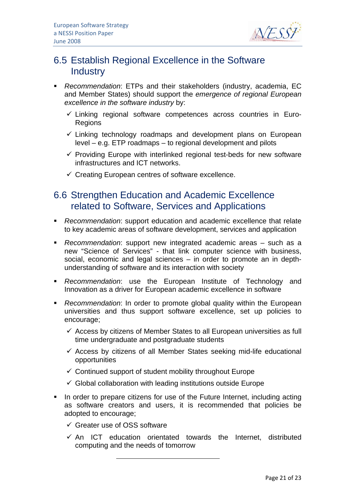

## 6.5 Establish Regional Excellence in the Software **Industry**

- *Recommendation*: ETPs and their stakeholders (industry, academia, EC and Member States) should support the *emergence of regional European excellence in the software industry* by:
	- $\checkmark$  Linking regional software competences across countries in Euro-Regions
	- $\checkmark$  Linking technology roadmaps and development plans on European level – e.g. ETP roadmaps – to regional development and pilots
	- $\checkmark$  Providing Europe with interlinked regional test-beds for new software infrastructures and ICT networks.
	- $\checkmark$  Creating European centres of software excellence.

### 6.6 Strengthen Education and Academic Excellence related to Software, Services and Applications

- *Recommendation*: support education and academic excellence that relate to key academic areas of software development, services and application
- *Recommendation*: support new integrated academic areas such as a new "Science of Services" - that link computer science with business, social, economic and legal sciences – in order to promote an in depthunderstanding of software and its interaction with society
- *Recommendation*: use the European Institute of Technology and Innovation as a driver for European academic excellence in software
- *Recommendation*: In order to promote global quality within the European universities and thus support software excellence, set up policies to encourage;
	- $\checkmark$  Access by citizens of Member States to all European universities as full time undergraduate and postgraduate students
	- $\checkmark$  Access by citizens of all Member States seeking mid-life educational opportunities
	- $\checkmark$  Continued support of student mobility throughout Europe
	- $\checkmark$  Global collaboration with leading institutions outside Europe
- In order to prepare citizens for use of the Future Internet, including acting as software creators and users, it is recommended that policies be adopted to encourage;
	- $\checkmark$  Greater use of OSS software
	- $\checkmark$  An ICT education orientated towards the Internet, distributed computing and the needs of tomorrow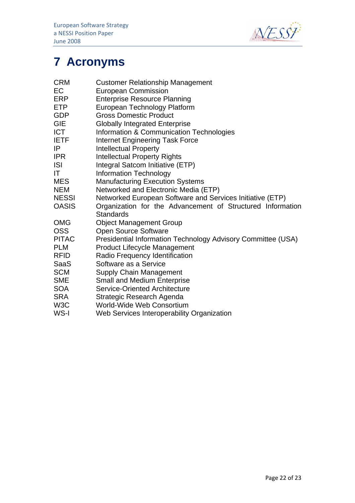

# **7 Acronyms**

| CRM                                                                                         | <b>Customer Relationship Management</b>                                                                                                                                                                                                                                                                              |
|---------------------------------------------------------------------------------------------|----------------------------------------------------------------------------------------------------------------------------------------------------------------------------------------------------------------------------------------------------------------------------------------------------------------------|
| EC                                                                                          | <b>European Commission</b>                                                                                                                                                                                                                                                                                           |
| ERP                                                                                         | <b>Enterprise Resource Planning</b>                                                                                                                                                                                                                                                                                  |
| <b>ETP</b>                                                                                  | European Technology Platform                                                                                                                                                                                                                                                                                         |
| <b>GDP</b>                                                                                  | <b>Gross Domestic Product</b>                                                                                                                                                                                                                                                                                        |
| <b>GIE</b>                                                                                  | <b>Globally Integrated Enterprise</b>                                                                                                                                                                                                                                                                                |
| <b>ICT</b>                                                                                  | Information & Communication Technologies                                                                                                                                                                                                                                                                             |
| <b>IETF</b>                                                                                 | <b>Internet Engineering Task Force</b>                                                                                                                                                                                                                                                                               |
| IP                                                                                          | <b>Intellectual Property</b>                                                                                                                                                                                                                                                                                         |
| <b>IPR</b>                                                                                  | <b>Intellectual Property Rights</b>                                                                                                                                                                                                                                                                                  |
| <b>ISI</b>                                                                                  | Integral Satcom Initiative (ETP)                                                                                                                                                                                                                                                                                     |
| ΙT                                                                                          | <b>Information Technology</b>                                                                                                                                                                                                                                                                                        |
| <b>MES</b>                                                                                  | <b>Manufacturing Execution Systems</b>                                                                                                                                                                                                                                                                               |
| <b>NEM</b>                                                                                  | Networked and Electronic Media (ETP)                                                                                                                                                                                                                                                                                 |
| <b>NESSI</b>                                                                                | Networked European Software and Services Initiative (ETP)                                                                                                                                                                                                                                                            |
| <b>OASIS</b>                                                                                | Organization for the Advancement of Structured Information                                                                                                                                                                                                                                                           |
| OMG<br>OSS<br><b>PITAC</b><br><b>PLM</b><br><b>RFID</b><br>SaaS<br><b>SCM</b><br><b>SME</b> | <b>Standards</b><br><b>Object Management Group</b><br>Open Source Software<br>Presidential Information Technology Advisory Committee (USA)<br><b>Product Lifecycle Management</b><br>Radio Frequency Identification<br>Software as a Service<br><b>Supply Chain Management</b><br><b>Small and Medium Enterprise</b> |
| <b>SOA</b>                                                                                  | Service-Oriented Architecture                                                                                                                                                                                                                                                                                        |
| SRA                                                                                         | Strategic Research Agenda                                                                                                                                                                                                                                                                                            |
| W3C                                                                                         | <b>World-Wide Web Consortium</b>                                                                                                                                                                                                                                                                                     |
| WS-I                                                                                        | Web Services Interoperability Organization                                                                                                                                                                                                                                                                           |